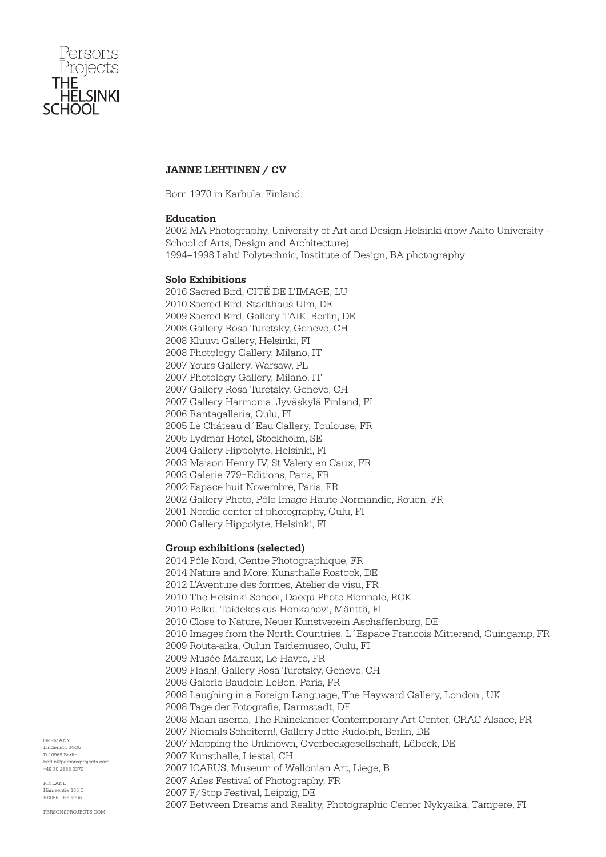

# JANNE LEHTINEN / CV

Born 1970 in Karhula, Finland.

# Education

2002 MA Photography, University of Art and Design Helsinki (now Aalto University – School of Arts, Design and Architecture) 1994–1998 Lahti Polytechnic, Institute of Design, BA photography

# Solo Exhibitions

2016 Sacred Bird, CITÉ DE L'IMAGE, LU 2010 Sacred Bird, Stadthaus Ulm, DE 2009 Sacred Bird, Gallery TAIK, Berlin, DE 2008 Gallery Rosa Turetsky, Geneve, CH 2008 Kluuvi Gallery, Helsinki, FI 2008 Photology Gallery, Milano, IT 2007 Yours Gallery, Warsaw, PL 2007 Photology Gallery, Milano, IT 2007 Gallery Rosa Turetsky, Geneve, CH 2007 Gallery Harmonia, Jyväskylä Finland, FI 2006 Rantagalleria, Oulu, FI 2005 Le Cháteau d´Eau Gallery, Toulouse, FR 2005 Lydmar Hotel, Stockholm, SE 2004 Gallery Hippolyte, Helsinki, FI 2003 Maison Henry IV, St Valery en Caux, FR 2003 Galerie 779+Editions, Paris, FR 2002 Espace huit Novembre, Paris, FR 2002 Gallery Photo, Pôle Image Haute-Normandie, Rouen, FR 2001 Nordic center of photography, Oulu, FI 2000 Gallery Hippolyte, Helsinki, FI

# Group exhibitions (selected)

2014 Pôle Nord, Centre Photographique, FR 2014 Nature and More, Kunsthalle Rostock, DE 2012 L'Aventure des formes, Atelier de visu, FR 2010 The Helsinki School, Daegu Photo Biennale, ROK 2010 Polku, Taidekeskus Honkahovi, Mänttä, Fi 2010 Close to Nature, Neuer Kunstverein Aschaffenburg, DE 2010 Images from the North Countries, L´Espace Francois Mitterand, Guingamp, FR 2009 Routa-aika, Oulun Taidemuseo, Oulu, FI 2009 Musée Malraux, Le Havre, FR 2009 Flash!, Gallery Rosa Turetsky, Geneve, CH 2008 Galerie Baudoin LeBon, Paris, FR 2008 Laughing in a Foreign Language, The Hayward Gallery, London , UK 2008 Tage der Fotografie, Darmstadt, DE 2008 Maan asema, The Rhinelander Contemporary Art Center, CRAC Alsace, FR 2007 Niemals Scheitern!, Gallery Jette Rudolph, Berlin, DE 2007 Mapping the Unknown, Overbeckgesellschaft, Lübeck, DE 2007 Kunsthalle, Liestal, CH 2007 ICARUS, Museum of Wallonian Art, Liege, B 2007 Arles Festival of Photography, FR 2007 F/Stop Festival, Leipzig, DE

2007 Between Dreams and Reality, Photographic Center Nykyaika, Tampere, FI

GERMANY Lindenstr. 34-35 D-10969 Berlin berlin@personsprojects.com +49 30 2888 3370

FINLAND  $m<sub>th</sub>$  125  $C$ F-00560 Helsinki

PERSONSPROJECTS.COM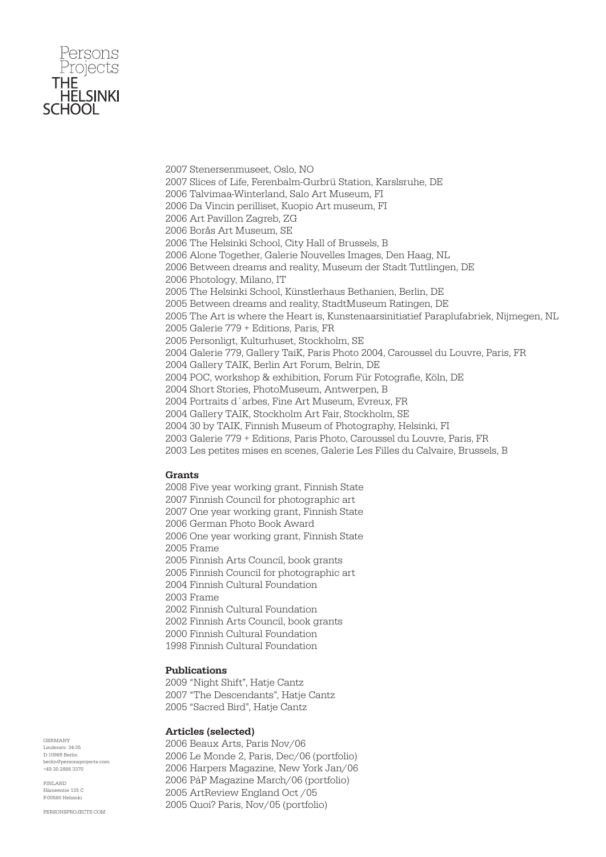

2007 Stenersenmuseet, Oslo, NO 2007 Slices of Life, Ferenbalm-Gurbrü Station, Karslsruhe, DE 2006 Talvimaa-Winterland, Salo Art Museum, FI 2006 Da Vincin perilliset, Kuopio Art museum, FI 2006 Art Pavillon Zagreb, ZG 2006 Borås Art Museum, SE 2006 The Helsinki School, City Hall of Brussels, B 2006 Alone Together, Galerie Nouvelles Images, Den Haag, NL 2006 Between dreams and reality, Museum der Stadt Tuttlingen, DE 2006 Photology, Milano, IT 2005 The Helsinki School, Künstlerhaus Bethanien, Berlin, DE 2005 Between dreams and reality, StadtMuseum Ratingen, DE 2005 The Art is where the Heart is, Kunstenaarsinitiatief Paraplufabriek, Nijmegen, NL 2005 Galerie 779 + Editions, Paris, FR 2005 Personligt, Kulturhuset, Stockholm, SE 2004 Galerie 779, Gallery TaiK, Paris Photo 2004, Caroussel du Louvre, Paris, FR 2004 Gallery TAIK, Berlin Art Forum, Belrin, DE 2004 POC, workshop & exhibition, Forum Für Fotografie, Köln, DE 2004 Short Stories, PhotoMuseum, Antwerpen, B 2004 Portraits d´arbes, Fine Art Museum, Evreux, FR 2004 Gallery TAIK, Stockholm Art Fair, Stockholm, SE 2004 30 by TAIK, Finnish Museum of Photography, Helsinki, FI 2003 Galerie 779 + Editions, Paris Photo, Caroussel du Louvre, Paris, FR 2003 Les petites mises en scenes, Galerie Les Filles du Calvaire, Brussels, B

### Grants

2008 Five year working grant, Finnish State 2007 Finnish Council for photographic art 2007 One year working grant, Finnish State 2006 German Photo Book Award 2006 One year working grant, Finnish State 2005 Frame 2005 Finnish Arts Council, book grants 2005 Finnish Council for photographic art 2004 Finnish Cultural Foundation 2003 Frame 2002 Finnish Cultural Foundation 2002 Finnish Arts Council, book grants 2000 Finnish Cultural Foundation 1998 Finnish Cultural Foundation

### Publications

2009 "Night Shift", Hatje Cantz 2007 "The Descendants", Hatje Cantz 2005 "Sacred Bird", Hatje Cantz

#### Articles (selected)

2006 Beaux Arts, Paris Nov/06 2006 Le Monde 2, Paris, Dec/06 (portfolio) 2006 Harpers Magazine, New York Jan/06 2006 PáP Magazine March/06 (portfolio) 2005 ArtReview England Oct /05 2005 Quoi? Paris, Nov/05 (portfolio)

GERMANY Lindenstr. 34-35 D-10969 Berlin berlin@personsprojects.com +49 30 2888 3370

FINLAND  $m<sub>th</sub>$  125  $C$ F-00560 Helsinki

PERSONSPROJECTS.COM